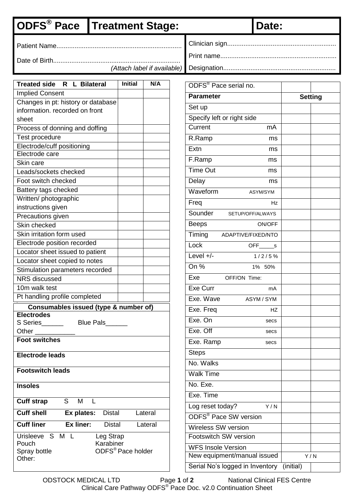## **ODFS<sup>®</sup> Pace Treatment Stage: Date:**

Clinician sign............................................................

Date of Birth......................................................................

*(Attach label if available)*

Designation..............................................................

| Treated side R L Bilateral                       | <b>Initial</b>                | N/A     |
|--------------------------------------------------|-------------------------------|---------|
| <b>Implied Consent</b>                           |                               |         |
| Changes in pt: history or database               |                               |         |
| information, recorded on front                   |                               |         |
| sheet                                            |                               |         |
| Process of donning and doffing                   |                               |         |
| Test procedure                                   |                               |         |
| Electrode/cuff positioning                       |                               |         |
| Electrode care                                   |                               |         |
| Skin care                                        |                               |         |
| Leads/sockets checked                            |                               |         |
| Foot switch checked                              |                               |         |
| Battery tags checked                             |                               |         |
| Written/ photographic                            |                               |         |
| instructions given                               |                               |         |
| Precautions given                                |                               |         |
| Skin checked                                     |                               |         |
| Skin irritation form used                        |                               |         |
| Electrode position recorded                      |                               |         |
| Locator sheet issued to patient                  |                               |         |
| Locator sheet copied to notes                    |                               |         |
| Stimulation parameters recorded                  |                               |         |
| <b>NRS</b> discussed                             |                               |         |
| 10m walk test                                    |                               |         |
| Pt handling profile completed                    |                               |         |
| Consumables issued (type & number of)            |                               |         |
| <b>Electrodes</b>                                |                               |         |
| S Series<br>Blue Pals______                      |                               |         |
| Other                                            |                               |         |
| <b>Foot switches</b>                             |                               |         |
|                                                  |                               |         |
| <b>Electrode leads</b>                           |                               |         |
| <b>Footswitch leads</b>                          |                               |         |
|                                                  |                               |         |
| <b>Insoles</b>                                   |                               |         |
| S<br><b>Cuff strap</b><br>M                      |                               |         |
| <b>Cuff shell</b><br>Ex plates:<br><b>Distal</b> |                               | Lateral |
| <b>Cuff liner</b><br>Ex liner:<br><b>Distal</b>  |                               | Lateral |
| Urisleeve S M L                                  |                               |         |
| Leg Strap                                        |                               |         |
| Pouch<br>Karabiner                               |                               |         |
| Spray bottle<br>Other:                           | ODFS <sup>®</sup> Pace holder |         |

| ODFS® Pace serial no.                        |                |  |  |  |  |  |
|----------------------------------------------|----------------|--|--|--|--|--|
| <b>Parameter</b>                             | <b>Setting</b> |  |  |  |  |  |
| Set up                                       |                |  |  |  |  |  |
| Specify left or right side                   |                |  |  |  |  |  |
| Current<br>mA                                |                |  |  |  |  |  |
| R.Ramp<br>ms                                 |                |  |  |  |  |  |
| Extn<br>ms                                   |                |  |  |  |  |  |
| F.Ramp<br>ms                                 |                |  |  |  |  |  |
| <b>Time Out</b><br>ms                        |                |  |  |  |  |  |
| Delay<br>ms                                  |                |  |  |  |  |  |
| Waveform<br>ASYM/SYM                         |                |  |  |  |  |  |
| Freq<br>Ηz                                   |                |  |  |  |  |  |
| Sounder<br>SETUP/OFF/ALWAYS                  |                |  |  |  |  |  |
| <b>Beeps</b><br><b>ON/OFF</b>                |                |  |  |  |  |  |
| Timing<br>ADAPTIVE/FIXED/NTO                 |                |  |  |  |  |  |
| Lock<br>OFF<br>s                             |                |  |  |  |  |  |
| Level $+/-$<br>1/2/5%                        |                |  |  |  |  |  |
| On %<br>1%<br>- 50%                          |                |  |  |  |  |  |
| Exe<br>OFF/ON Time:                          |                |  |  |  |  |  |
| Exe Curr<br>mA                               |                |  |  |  |  |  |
| Exe. Wave<br>ASYM / SYM                      |                |  |  |  |  |  |
| Exe. Freq<br><b>HZ</b>                       |                |  |  |  |  |  |
| Exe. On<br>secs                              |                |  |  |  |  |  |
| Exe. Off<br>secs                             |                |  |  |  |  |  |
| Exe. Ramp<br>secs                            |                |  |  |  |  |  |
| Steps                                        |                |  |  |  |  |  |
| No. Walks                                    |                |  |  |  |  |  |
| Walk Time                                    |                |  |  |  |  |  |
| No. Exe.                                     |                |  |  |  |  |  |
| Exe. Time                                    |                |  |  |  |  |  |
| Log reset today?<br>Y/N                      |                |  |  |  |  |  |
| <b>ODFS<sup>®</sup> Pace SW version</b>      |                |  |  |  |  |  |
| Wireless SW version                          |                |  |  |  |  |  |
| Footswitch SW version                        |                |  |  |  |  |  |
| <b>WFS Insole Version</b>                    |                |  |  |  |  |  |
| New equipment/manual issued                  | Y/N            |  |  |  |  |  |
| Serial No's logged in Inventory<br>(initial) |                |  |  |  |  |  |

Patient Name.....................................................................